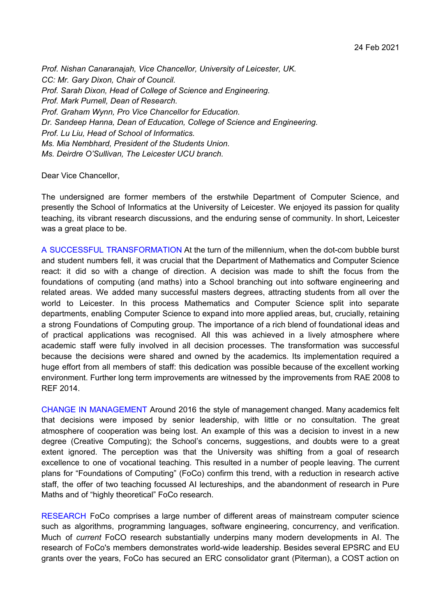*Prof. Nishan Canaranajah, Vice Chancellor, University of Leicester, UK. CC: Mr. Gary Dixon, Chair of Council. Prof. Sarah Dixon, Head of College of Science and Engineering. Prof. Mark Purnell, Dean of Research. Prof. Graham Wynn, Pro Vice Chancellor for Education. Dr. Sandeep Hanna, Dean of Education, College of Science and Engineering. Prof. Lu Liu, Head of School of Informatics. Ms. Mia Nembhard, President of the Students Union. Ms. Deirdre O'Sullivan, The Leicester UCU branch.*

## Dear Vice Chancellor,

The undersigned are former members of the erstwhile Department of Computer Science, and presently the School of Informatics at the University of Leicester. We enjoyed its passion for quality teaching, its vibrant research discussions, and the enduring sense of community. In short, Leicester was a great place to be.

A SUCCESSFUL TRANSFORMATION At the turn of the millennium, when the dot-com bubble burst and student numbers fell, it was crucial that the Department of Mathematics and Computer Science react: it did so with a change of direction. A decision was made to shift the focus from the foundations of computing (and maths) into a School branching out into software engineering and related areas. We added many successful masters degrees, attracting students from all over the world to Leicester. In this process Mathematics and Computer Science split into separate departments, enabling Computer Science to expand into more applied areas, but, crucially, retaining a strong Foundations of Computing group. The importance of a rich blend of foundational ideas and of practical applications was recognised. All this was achieved in a lively atmosphere where academic staff were fully involved in all decision processes. The transformation was successful because the decisions were shared and owned by the academics. Its implementation required a huge effort from all members of staff: this dedication was possible because of the excellent working environment. Further long term improvements are witnessed by the improvements from RAE 2008 to REF 2014.

CHANGE IN MANAGEMENT Around 2016 the style of management changed. Many academics felt that decisions were imposed by senior leadership, with little or no consultation. The great atmosphere of cooperation was being lost. An example of this was a decision to invest in a new degree (Creative Computing); the School's concerns, suggestions, and doubts were to a great extent ignored. The perception was that the University was shifting from a goal of research excellence to one of vocational teaching. This resulted in a number of people leaving. The current plans for "Foundations of Computing" (FoCo) confirm this trend, with a reduction in research active staff, the offer of two teaching focussed AI lectureships, and the abandonment of research in Pure Maths and of "highly theoretical" FoCo research.

RESEARCH FoCo comprises a large number of different areas of mainstream computer science such as algorithms, programming languages, software engineering, concurrency, and verification. Much of *current* FoCO research substantially underpins many modern developments in AI. The research of FoCo's members demonstrates world-wide leadership. Besides several EPSRC and EU grants over the years, FoCo has secured an ERC consolidator grant (Piterman), a COST action on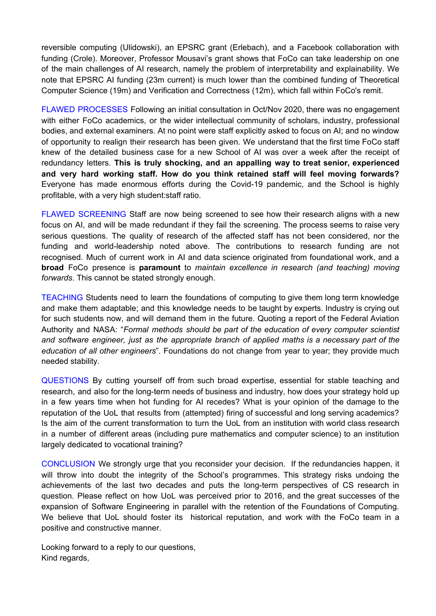reversible computing (Ulidowski), an EPSRC grant (Erlebach), and a Facebook collaboration with funding (Crole). Moreover, Professor Mousavi's grant shows that FoCo can take leadership on one of the main challenges of AI research, namely the problem of interpretability and explainability. We note that EPSRC AI funding (23m current) is much lower than the combined funding of Theoretical Computer Science (19m) and Verification and Correctness (12m), which fall within FoCo's remit.

FLAWED PROCESSES Following an initial consultation in Oct/Nov 2020, there was no engagement with either FoCo academics, or the wider intellectual community of scholars, industry, professional bodies, and external examiners. At no point were staff explicitly asked to focus on AI; and no window of opportunity to realign their research has been given. We understand that the first time FoCo staff knew of the detailed business case for a new School of AI was over a week after the receipt of redundancy letters. **This is truly shocking, and an appalling way to treat senior, experienced and very hard working staff. How do you think retained staff will feel moving forwards?** Everyone has made enormous efforts during the Covid-19 pandemic, and the School is highly profitable, with a very high student:staff ratio.

FLAWED SCREENING Staff are now being screened to see how their research aligns with a new focus on AI, and will be made redundant if they fail the screening. The process seems to raise very serious questions. The quality of research of the affected staff has not been considered, nor the funding and world-leadership noted above. The contributions to research funding are not recognised. Much of current work in AI and data science originated from foundational work, and a **broad** FoCo presence is **paramount** to *maintain excellence in research (and teaching) moving forwards*. This cannot be stated strongly enough.

TEACHING Students need to learn the foundations of computing to give them long term knowledge and make them adaptable; and this knowledge needs to be taught by experts. Industry is crying out for such students now, and will demand them in the future. Quoting a report of the Federal Aviation Authority and NASA: "*Formal methods should be part of the education of every computer scientist and software engineer, just as the appropriate branch of applied maths is a necessary part of the education of all other engineers*". Foundations do not change from year to year; they provide much needed stability.

QUESTIONS By cutting yourself off from such broad expertise, essential for stable teaching and research, and also for the long-term needs of business and industry, how does your strategy hold up in a few years time when hot funding for AI recedes? What is your opinion of the damage to the reputation of the UoL that results from (attempted) firing of successful and long serving academics? Is the aim of the current transformation to turn the UoL from an institution with world class research in a number of different areas (including pure mathematics and computer science) to an institution largely dedicated to vocational training?

CONCLUSION We strongly urge that you reconsider your decision. If the redundancies happen, it will throw into doubt the integrity of the School's programmes. This strategy risks undoing the achievements of the last two decades and puts the long-term perspectives of CS research in question. Please reflect on how UoL was perceived prior to 2016, and the great successes of the expansion of Software Engineering in parallel with the retention of the Foundations of Computing. We believe that UoL should foster its historical reputation, and work with the FoCo team in a positive and constructive manner.

Looking forward to a reply to our questions, Kind regards,